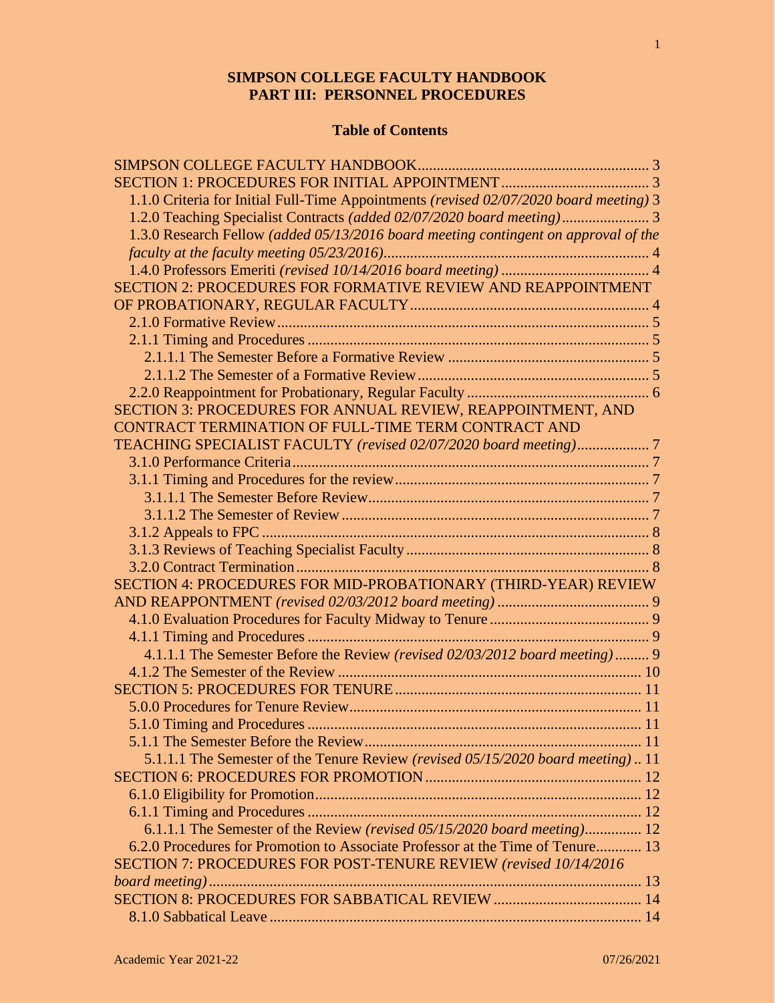# **SIMPSON COLLEGE FACULTY HANDBOOK PART III: PERSONNEL PROCEDURES**

# **Table of Contents**

| 1.1.0 Criteria for Initial Full-Time Appointments (revised 02/07/2020 board meeting) 3 |  |
|----------------------------------------------------------------------------------------|--|
|                                                                                        |  |
| 1.3.0 Research Fellow (added 05/13/2016 board meeting contingent on approval of the    |  |
|                                                                                        |  |
|                                                                                        |  |
| SECTION 2: PROCEDURES FOR FORMATIVE REVIEW AND REAPPOINTMENT                           |  |
|                                                                                        |  |
|                                                                                        |  |
|                                                                                        |  |
|                                                                                        |  |
|                                                                                        |  |
|                                                                                        |  |
| SECTION 3: PROCEDURES FOR ANNUAL REVIEW, REAPPOINTMENT, AND                            |  |
| CONTRACT TERMINATION OF FULL-TIME TERM CONTRACT AND                                    |  |
| TEACHING SPECIALIST FACULTY (revised 02/07/2020 board meeting)7                        |  |
|                                                                                        |  |
|                                                                                        |  |
|                                                                                        |  |
|                                                                                        |  |
|                                                                                        |  |
|                                                                                        |  |
|                                                                                        |  |
| SECTION 4: PROCEDURES FOR MID-PROBATIONARY (THIRD-YEAR) REVIEW                         |  |
|                                                                                        |  |
|                                                                                        |  |
|                                                                                        |  |
| 4.1.1.1 The Semester Before the Review (revised 02/03/2012 board meeting) 9            |  |
|                                                                                        |  |
|                                                                                        |  |
|                                                                                        |  |
|                                                                                        |  |
|                                                                                        |  |
| 5.1.1.1 The Semester of the Tenure Review (revised 05/15/2020 board meeting) 11        |  |
|                                                                                        |  |
|                                                                                        |  |
|                                                                                        |  |
| 6.1.1.1 The Semester of the Review (revised 05/15/2020 board meeting) 12               |  |
| 6.2.0 Procedures for Promotion to Associate Professor at the Time of Tenure 13         |  |
| SECTION 7: PROCEDURES FOR POST-TENURE REVIEW (revised 10/14/2016                       |  |
|                                                                                        |  |
|                                                                                        |  |
|                                                                                        |  |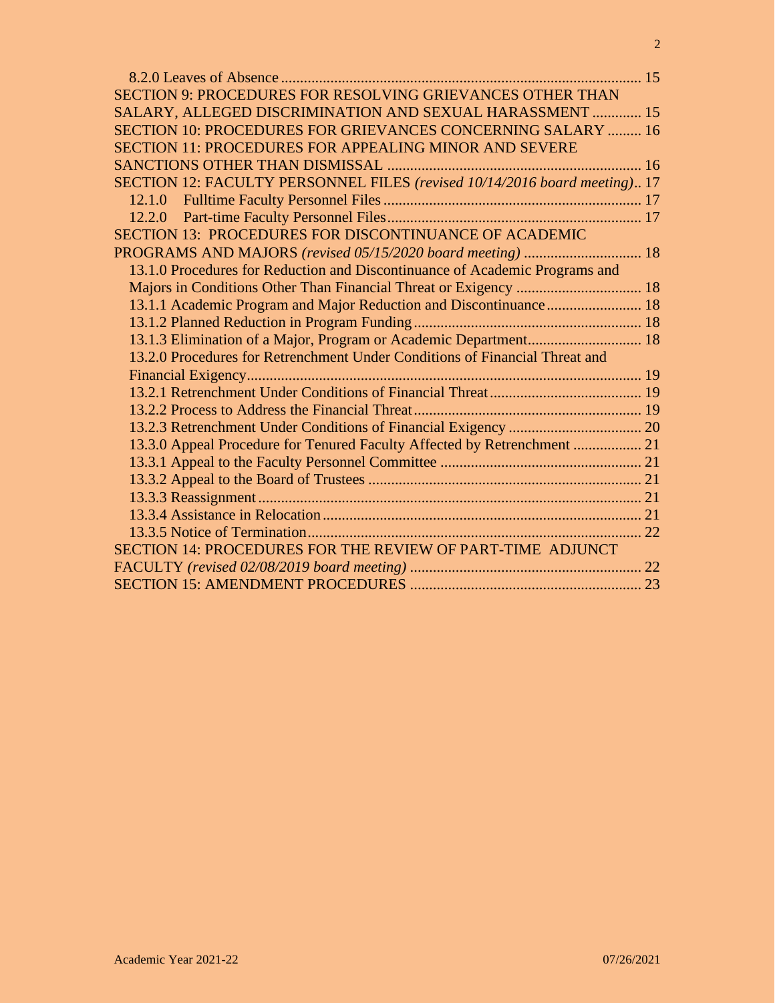| SECTION 9: PROCEDURES FOR RESOLVING GRIEVANCES OTHER THAN                   |  |
|-----------------------------------------------------------------------------|--|
| SALARY, ALLEGED DISCRIMINATION AND SEXUAL HARASSMENT  15                    |  |
| <b>SECTION 10: PROCEDURES FOR GRIEVANCES CONCERNING SALARY  16</b>          |  |
| <b>SECTION 11: PROCEDURES FOR APPEALING MINOR AND SEVERE</b>                |  |
|                                                                             |  |
| SECTION 12: FACULTY PERSONNEL FILES (revised 10/14/2016 board meeting) 17   |  |
|                                                                             |  |
|                                                                             |  |
| SECTION 13: PROCEDURES FOR DISCONTINUANCE OF ACADEMIC                       |  |
|                                                                             |  |
| 13.1.0 Procedures for Reduction and Discontinuance of Academic Programs and |  |
|                                                                             |  |
| 13.1.1 Academic Program and Major Reduction and Discontinuance 18           |  |
|                                                                             |  |
| 13.1.3 Elimination of a Major, Program or Academic Department 18            |  |
| 13.2.0 Procedures for Retrenchment Under Conditions of Financial Threat and |  |
|                                                                             |  |
|                                                                             |  |
|                                                                             |  |
|                                                                             |  |
| 13.3.0 Appeal Procedure for Tenured Faculty Affected by Retrenchment  21    |  |
|                                                                             |  |
|                                                                             |  |
|                                                                             |  |
|                                                                             |  |
|                                                                             |  |
| SECTION 14: PROCEDURES FOR THE REVIEW OF PART-TIME ADJUNCT                  |  |
|                                                                             |  |
|                                                                             |  |
|                                                                             |  |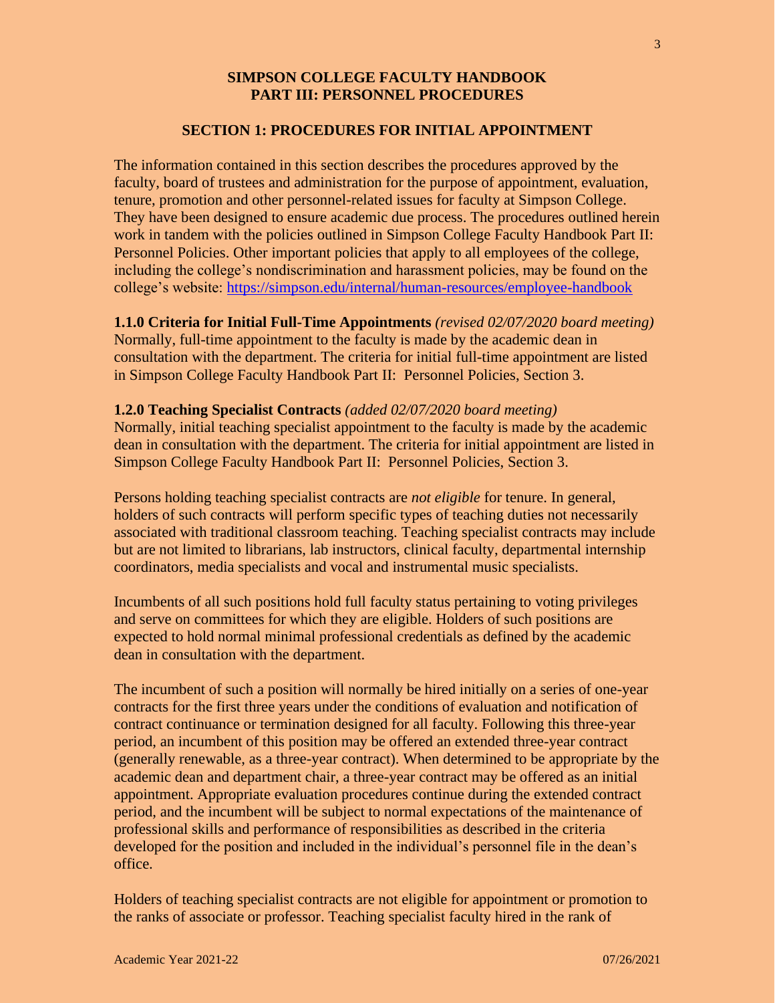## **SIMPSON COLLEGE FACULTY HANDBOOK PART III: PERSONNEL PROCEDURES**

#### **SECTION 1: PROCEDURES FOR INITIAL APPOINTMENT**

The information contained in this section describes the procedures approved by the faculty, board of trustees and administration for the purpose of appointment, evaluation, tenure, promotion and other personnel-related issues for faculty at Simpson College. They have been designed to ensure academic due process. The procedures outlined herein work in tandem with the policies outlined in Simpson College Faculty Handbook Part II: Personnel Policies. Other important policies that apply to all employees of the college, including the college's nondiscrimination and harassment policies, may be found on the college's website:<https://simpson.edu/internal/human-resources/employee-handbook>

**1.1.0 Criteria for Initial Full-Time Appointments** *(revised 02/07/2020 board meeting)*

Normally, full-time appointment to the faculty is made by the academic dean in consultation with the department. The criteria for initial full-time appointment are listed in Simpson College Faculty Handbook Part II: Personnel Policies, Section 3.

#### **1.2.0 Teaching Specialist Contracts** *(added 02/07/2020 board meeting)*

Normally, initial teaching specialist appointment to the faculty is made by the academic dean in consultation with the department. The criteria for initial appointment are listed in Simpson College Faculty Handbook Part II: Personnel Policies, Section 3.

Persons holding teaching specialist contracts are *not eligible* for tenure. In general, holders of such contracts will perform specific types of teaching duties not necessarily associated with traditional classroom teaching. Teaching specialist contracts may include but are not limited to librarians, lab instructors, clinical faculty, departmental internship coordinators, media specialists and vocal and instrumental music specialists.

Incumbents of all such positions hold full faculty status pertaining to voting privileges and serve on committees for which they are eligible. Holders of such positions are expected to hold normal minimal professional credentials as defined by the academic dean in consultation with the department.

The incumbent of such a position will normally be hired initially on a series of one-year contracts for the first three years under the conditions of evaluation and notification of contract continuance or termination designed for all faculty. Following this three-year period, an incumbent of this position may be offered an extended three-year contract (generally renewable, as a three-year contract). When determined to be appropriate by the academic dean and department chair, a three-year contract may be offered as an initial appointment. Appropriate evaluation procedures continue during the extended contract period, and the incumbent will be subject to normal expectations of the maintenance of professional skills and performance of responsibilities as described in the criteria developed for the position and included in the individual's personnel file in the dean's office.

Holders of teaching specialist contracts are not eligible for appointment or promotion to the ranks of associate or professor. Teaching specialist faculty hired in the rank of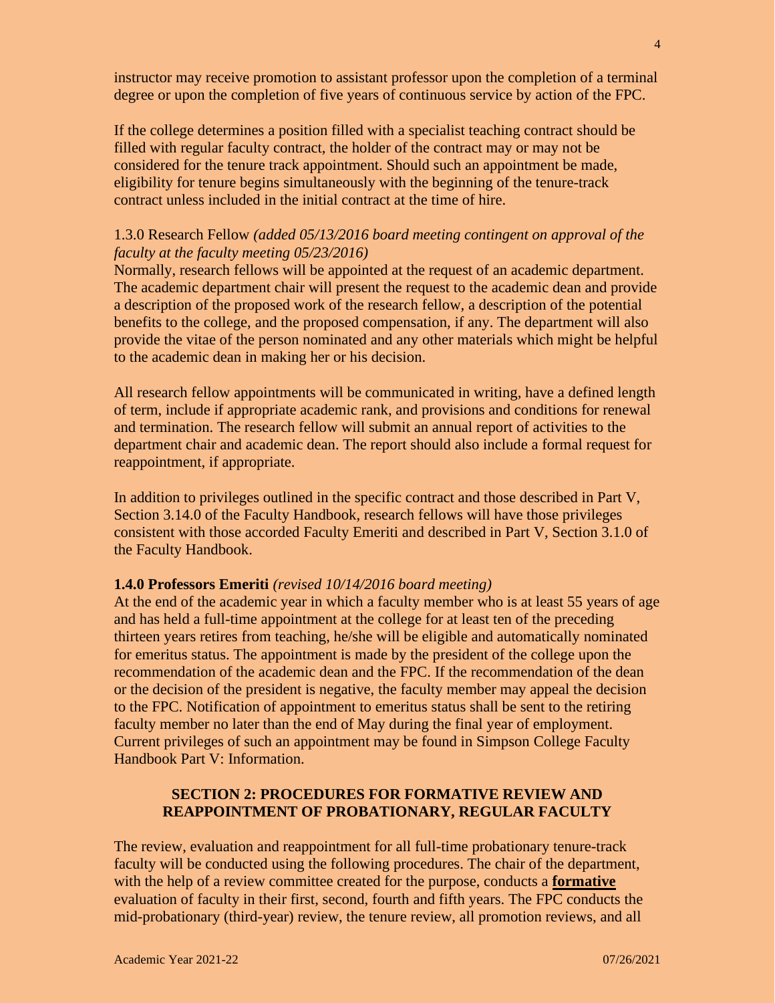instructor may receive promotion to assistant professor upon the completion of a terminal degree or upon the completion of five years of continuous service by action of the FPC.

If the college determines a position filled with a specialist teaching contract should be filled with regular faculty contract, the holder of the contract may or may not be considered for the tenure track appointment. Should such an appointment be made, eligibility for tenure begins simultaneously with the beginning of the tenure-track contract unless included in the initial contract at the time of hire.

## 1.3.0 Research Fellow *(added 05/13/2016 board meeting contingent on approval of the faculty at the faculty meeting 05/23/2016)*

Normally, research fellows will be appointed at the request of an academic department. The academic department chair will present the request to the academic dean and provide a description of the proposed work of the research fellow, a description of the potential benefits to the college, and the proposed compensation, if any. The department will also provide the vitae of the person nominated and any other materials which might be helpful to the academic dean in making her or his decision.

All research fellow appointments will be communicated in writing, have a defined length of term, include if appropriate academic rank, and provisions and conditions for renewal and termination. The research fellow will submit an annual report of activities to the department chair and academic dean. The report should also include a formal request for reappointment, if appropriate.

In addition to privileges outlined in the specific contract and those described in Part V, Section 3.14.0 of the Faculty Handbook, research fellows will have those privileges consistent with those accorded Faculty Emeriti and described in Part V, Section 3.1.0 of the Faculty Handbook.

#### **1.4.0 Professors Emeriti** *(revised 10/14/2016 board meeting)*

At the end of the academic year in which a faculty member who is at least 55 years of age and has held a full-time appointment at the college for at least ten of the preceding thirteen years retires from teaching, he/she will be eligible and automatically nominated for emeritus status. The appointment is made by the president of the college upon the recommendation of the academic dean and the FPC. If the recommendation of the dean or the decision of the president is negative, the faculty member may appeal the decision to the FPC. Notification of appointment to emeritus status shall be sent to the retiring faculty member no later than the end of May during the final year of employment. Current privileges of such an appointment may be found in Simpson College Faculty Handbook Part V: Information.

# **SECTION 2: PROCEDURES FOR FORMATIVE REVIEW AND REAPPOINTMENT OF PROBATIONARY, REGULAR FACULTY**

The review, evaluation and reappointment for all full-time probationary tenure-track faculty will be conducted using the following procedures. The chair of the department, with the help of a review committee created for the purpose, conducts a **formative** evaluation of faculty in their first, second, fourth and fifth years. The FPC conducts the mid-probationary (third-year) review, the tenure review, all promotion reviews, and all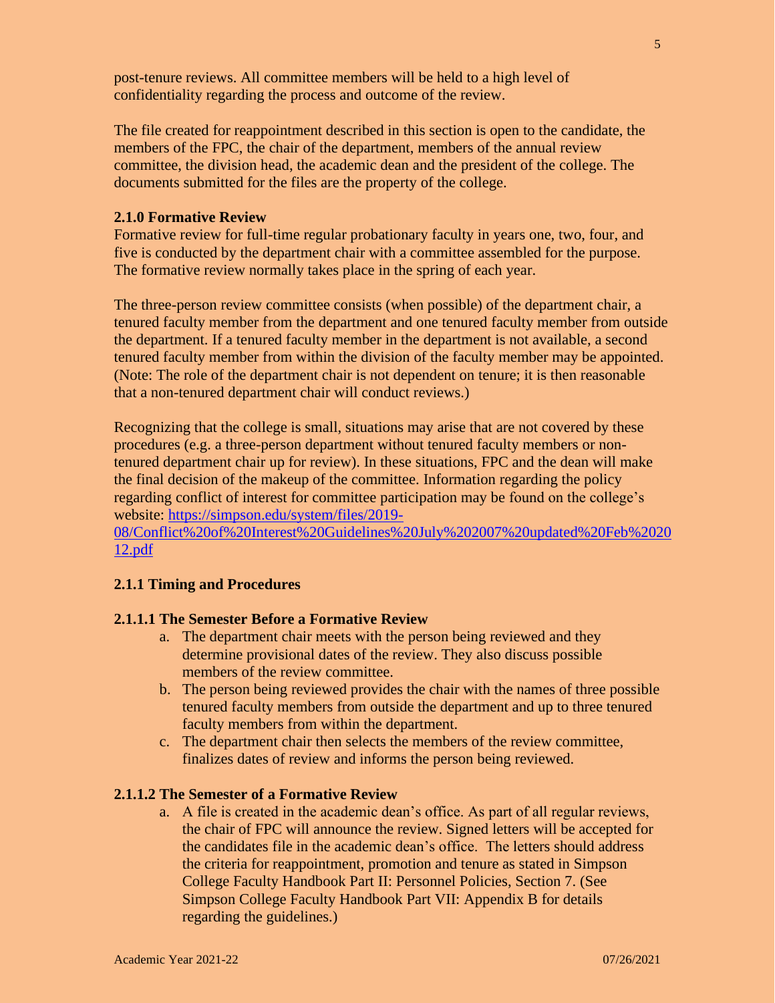post-tenure reviews. All committee members will be held to a high level of confidentiality regarding the process and outcome of the review.

The file created for reappointment described in this section is open to the candidate, the members of the FPC, the chair of the department, members of the annual review committee, the division head, the academic dean and the president of the college. The documents submitted for the files are the property of the college.

#### **2.1.0 Formative Review**

Formative review for full-time regular probationary faculty in years one, two, four, and five is conducted by the department chair with a committee assembled for the purpose. The formative review normally takes place in the spring of each year.

The three-person review committee consists (when possible) of the department chair, a tenured faculty member from the department and one tenured faculty member from outside the department. If a tenured faculty member in the department is not available, a second tenured faculty member from within the division of the faculty member may be appointed. (Note: The role of the department chair is not dependent on tenure; it is then reasonable that a non-tenured department chair will conduct reviews.)

Recognizing that the college is small, situations may arise that are not covered by these procedures (e.g. a three-person department without tenured faculty members or nontenured department chair up for review). In these situations, FPC and the dean will make the final decision of the makeup of the committee. Information regarding the policy regarding conflict of interest for committee participation may be found on the college's website: [https://simpson.edu/system/files/2019-](https://simpson.edu/system/files/2019-08/Conflict%20of%20Interest%20Guidelines%20July%202007%20updated%20Feb%202012.pdf)

[08/Conflict%20of%20Interest%20Guidelines%20July%202007%20updated%20Feb%2020](https://simpson.edu/system/files/2019-08/Conflict%20of%20Interest%20Guidelines%20July%202007%20updated%20Feb%202012.pdf) [12.pdf](https://simpson.edu/system/files/2019-08/Conflict%20of%20Interest%20Guidelines%20July%202007%20updated%20Feb%202012.pdf)

#### **2.1.1 Timing and Procedures**

## **2.1.1.1 The Semester Before a Formative Review**

- a. The department chair meets with the person being reviewed and they determine provisional dates of the review. They also discuss possible members of the review committee.
- b. The person being reviewed provides the chair with the names of three possible tenured faculty members from outside the department and up to three tenured faculty members from within the department.
- c. The department chair then selects the members of the review committee, finalizes dates of review and informs the person being reviewed.

#### **2.1.1.2 The Semester of a Formative Review**

a. A file is created in the academic dean's office. As part of all regular reviews, the chair of FPC will announce the review. Signed letters will be accepted for the candidates file in the academic dean's office. The letters should address the criteria for reappointment, promotion and tenure as stated in Simpson College Faculty Handbook Part II: Personnel Policies, Section 7. (See Simpson College Faculty Handbook Part VII: Appendix B for details regarding the guidelines.)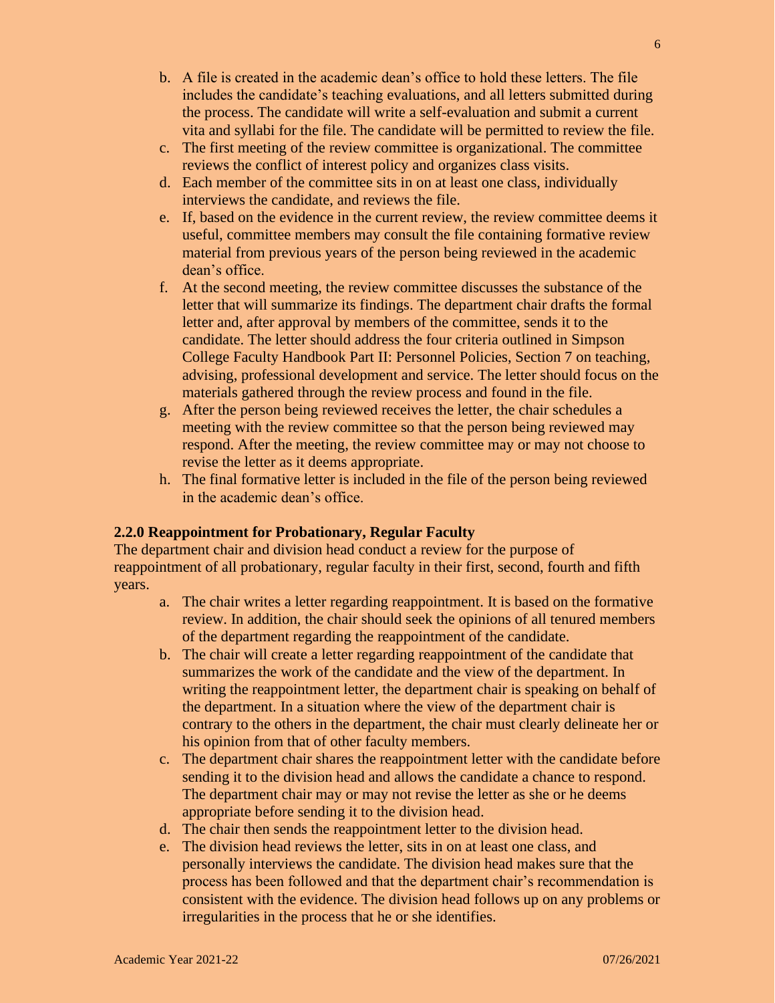- b. A file is created in the academic dean's office to hold these letters. The file includes the candidate's teaching evaluations, and all letters submitted during the process. The candidate will write a self-evaluation and submit a current vita and syllabi for the file. The candidate will be permitted to review the file.
- c. The first meeting of the review committee is organizational. The committee reviews the conflict of interest policy and organizes class visits.
- d. Each member of the committee sits in on at least one class, individually interviews the candidate, and reviews the file.
- e. If, based on the evidence in the current review, the review committee deems it useful, committee members may consult the file containing formative review material from previous years of the person being reviewed in the academic dean's office.
- f. At the second meeting, the review committee discusses the substance of the letter that will summarize its findings. The department chair drafts the formal letter and, after approval by members of the committee, sends it to the candidate. The letter should address the four criteria outlined in Simpson College Faculty Handbook Part II: Personnel Policies, Section 7 on teaching, advising, professional development and service. The letter should focus on the materials gathered through the review process and found in the file.
- g. After the person being reviewed receives the letter, the chair schedules a meeting with the review committee so that the person being reviewed may respond. After the meeting, the review committee may or may not choose to revise the letter as it deems appropriate.
- h. The final formative letter is included in the file of the person being reviewed in the academic dean's office.

## **2.2.0 Reappointment for Probationary, Regular Faculty**

The department chair and division head conduct a review for the purpose of reappointment of all probationary, regular faculty in their first, second, fourth and fifth years.

- a. The chair writes a letter regarding reappointment. It is based on the formative review. In addition, the chair should seek the opinions of all tenured members of the department regarding the reappointment of the candidate.
- b. The chair will create a letter regarding reappointment of the candidate that summarizes the work of the candidate and the view of the department. In writing the reappointment letter, the department chair is speaking on behalf of the department. In a situation where the view of the department chair is contrary to the others in the department, the chair must clearly delineate her or his opinion from that of other faculty members.
- c. The department chair shares the reappointment letter with the candidate before sending it to the division head and allows the candidate a chance to respond. The department chair may or may not revise the letter as she or he deems appropriate before sending it to the division head.
- d. The chair then sends the reappointment letter to the division head.
- e. The division head reviews the letter, sits in on at least one class, and personally interviews the candidate. The division head makes sure that the process has been followed and that the department chair's recommendation is consistent with the evidence. The division head follows up on any problems or irregularities in the process that he or she identifies.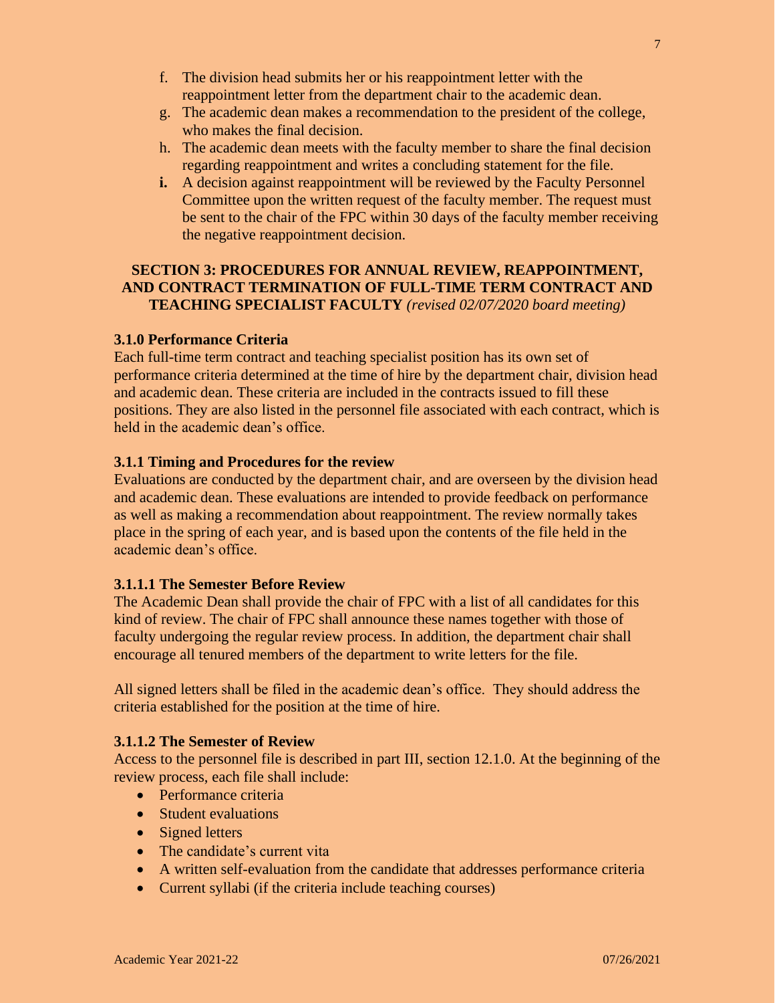- f. The division head submits her or his reappointment letter with the reappointment letter from the department chair to the academic dean.
- g. The academic dean makes a recommendation to the president of the college, who makes the final decision.
- h. The academic dean meets with the faculty member to share the final decision regarding reappointment and writes a concluding statement for the file.
- **i.** A decision against reappointment will be reviewed by the Faculty Personnel Committee upon the written request of the faculty member. The request must be sent to the chair of the FPC within 30 days of the faculty member receiving the negative reappointment decision.

## **SECTION 3: PROCEDURES FOR ANNUAL REVIEW, REAPPOINTMENT, AND CONTRACT TERMINATION OF FULL-TIME TERM CONTRACT AND TEACHING SPECIALIST FACULTY** *(revised 02/07/2020 board meeting)*

## **3.1.0 Performance Criteria**

Each full-time term contract and teaching specialist position has its own set of performance criteria determined at the time of hire by the department chair, division head and academic dean. These criteria are included in the contracts issued to fill these positions. They are also listed in the personnel file associated with each contract, which is held in the academic dean's office.

#### **3.1.1 Timing and Procedures for the review**

Evaluations are conducted by the department chair, and are overseen by the division head and academic dean. These evaluations are intended to provide feedback on performance as well as making a recommendation about reappointment. The review normally takes place in the spring of each year, and is based upon the contents of the file held in the academic dean's office.

#### **3.1.1.1 The Semester Before Review**

The Academic Dean shall provide the chair of FPC with a list of all candidates for this kind of review. The chair of FPC shall announce these names together with those of faculty undergoing the regular review process. In addition, the department chair shall encourage all tenured members of the department to write letters for the file.

All signed letters shall be filed in the academic dean's office. They should address the criteria established for the position at the time of hire.

#### **3.1.1.2 The Semester of Review**

Access to the personnel file is described in part III, section 12.1.0. At the beginning of the review process, each file shall include:

- Performance criteria
- Student evaluations
- Signed letters
- The candidate's current vita
- A written self-evaluation from the candidate that addresses performance criteria
- Current syllabi (if the criteria include teaching courses)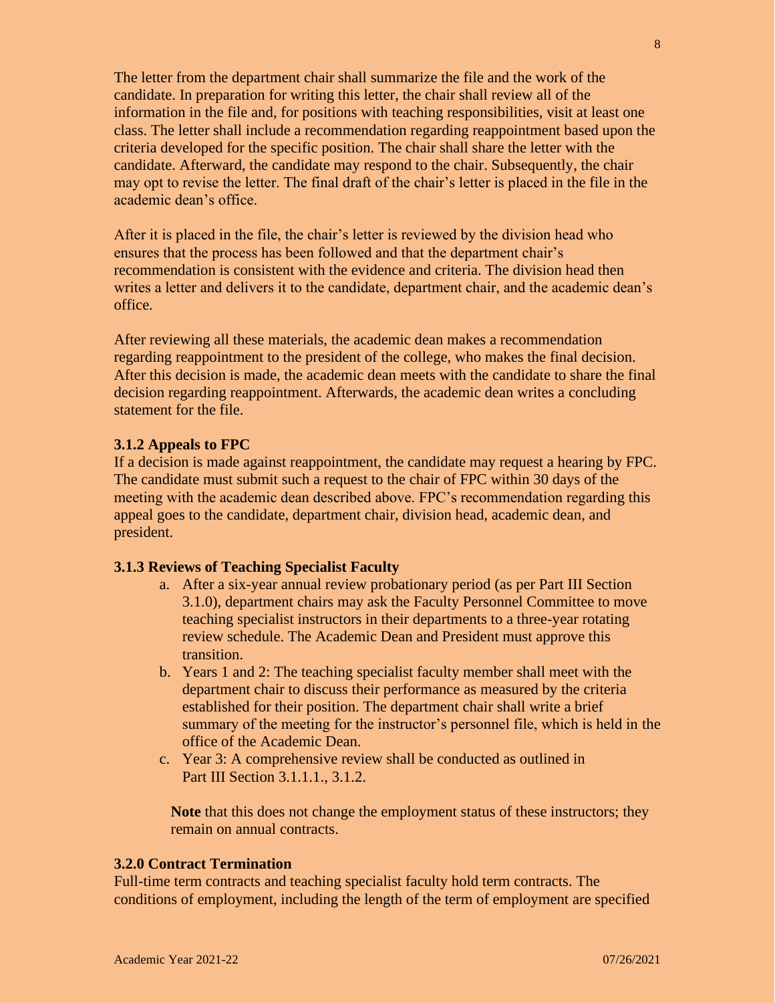The letter from the department chair shall summarize the file and the work of the candidate. In preparation for writing this letter, the chair shall review all of the information in the file and, for positions with teaching responsibilities, visit at least one class. The letter shall include a recommendation regarding reappointment based upon the criteria developed for the specific position. The chair shall share the letter with the candidate. Afterward, the candidate may respond to the chair. Subsequently, the chair may opt to revise the letter. The final draft of the chair's letter is placed in the file in the academic dean's office.

After it is placed in the file, the chair's letter is reviewed by the division head who ensures that the process has been followed and that the department chair's recommendation is consistent with the evidence and criteria. The division head then writes a letter and delivers it to the candidate, department chair, and the academic dean's office.

After reviewing all these materials, the academic dean makes a recommendation regarding reappointment to the president of the college, who makes the final decision. After this decision is made, the academic dean meets with the candidate to share the final decision regarding reappointment. Afterwards, the academic dean writes a concluding statement for the file.

#### **3.1.2 Appeals to FPC**

If a decision is made against reappointment, the candidate may request a hearing by FPC. The candidate must submit such a request to the chair of FPC within 30 days of the meeting with the academic dean described above. FPC's recommendation regarding this appeal goes to the candidate, department chair, division head, academic dean, and president.

## **3.1.3 Reviews of Teaching Specialist Faculty**

- a. After a six-year annual review probationary period (as per Part III Section 3.1.0), department chairs may ask the Faculty Personnel Committee to move teaching specialist instructors in their departments to a three-year rotating review schedule. The Academic Dean and President must approve this transition.
- b. Years 1 and 2: The teaching specialist faculty member shall meet with the department chair to discuss their performance as measured by the criteria established for their position. The department chair shall write a brief summary of the meeting for the instructor's personnel file, which is held in the office of the Academic Dean.
- c. Year 3: A comprehensive review shall be conducted as outlined in Part III Section 3.1.1.1., 3.1.2.

**Note** that this does not change the employment status of these instructors; they remain on annual contracts.

#### **3.2.0 Contract Termination**

Full-time term contracts and teaching specialist faculty hold term contracts. The conditions of employment, including the length of the term of employment are specified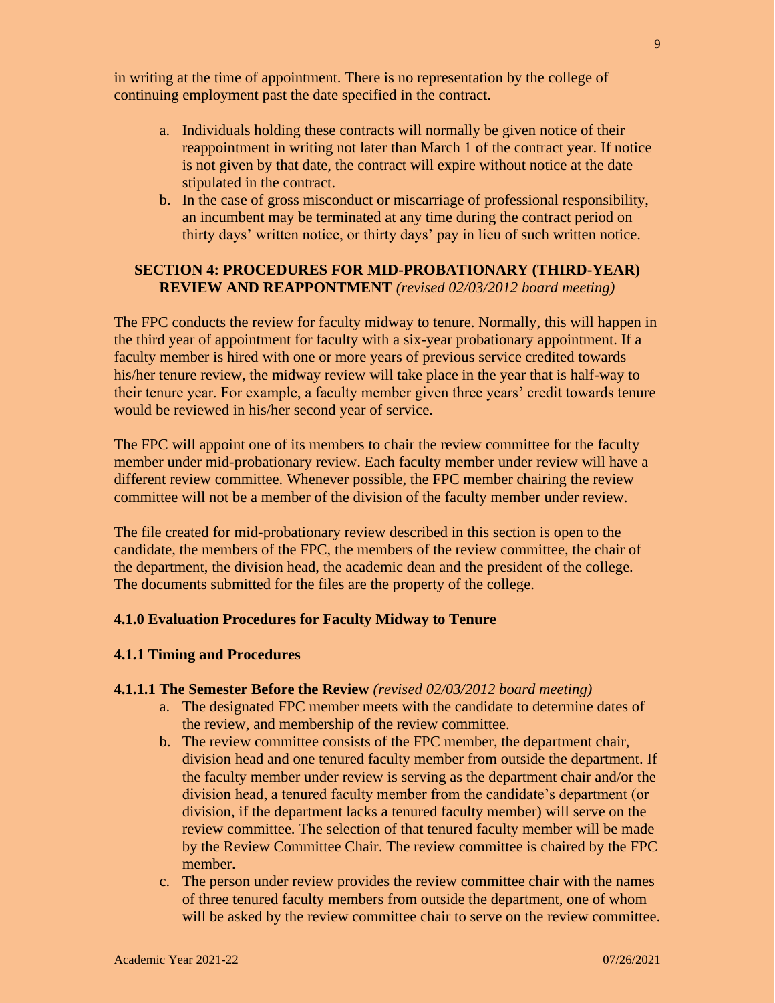in writing at the time of appointment. There is no representation by the college of continuing employment past the date specified in the contract.

- a. Individuals holding these contracts will normally be given notice of their reappointment in writing not later than March 1 of the contract year. If notice is not given by that date, the contract will expire without notice at the date stipulated in the contract.
- b. In the case of gross misconduct or miscarriage of professional responsibility, an incumbent may be terminated at any time during the contract period on thirty days' written notice, or thirty days' pay in lieu of such written notice.

## **SECTION 4: PROCEDURES FOR MID-PROBATIONARY (THIRD-YEAR) REVIEW AND REAPPONTMENT** *(revised 02/03/2012 board meeting)*

The FPC conducts the review for faculty midway to tenure. Normally, this will happen in the third year of appointment for faculty with a six-year probationary appointment. If a faculty member is hired with one or more years of previous service credited towards his/her tenure review, the midway review will take place in the year that is half-way to their tenure year. For example, a faculty member given three years' credit towards tenure would be reviewed in his/her second year of service.

The FPC will appoint one of its members to chair the review committee for the faculty member under mid-probationary review. Each faculty member under review will have a different review committee. Whenever possible, the FPC member chairing the review committee will not be a member of the division of the faculty member under review.

The file created for mid-probationary review described in this section is open to the candidate, the members of the FPC, the members of the review committee, the chair of the department, the division head, the academic dean and the president of the college. The documents submitted for the files are the property of the college.

#### **4.1.0 Evaluation Procedures for Faculty Midway to Tenure**

#### **4.1.1 Timing and Procedures**

### **4.1.1.1 The Semester Before the Review** *(revised 02/03/2012 board meeting)*

- a. The designated FPC member meets with the candidate to determine dates of the review, and membership of the review committee.
- b. The review committee consists of the FPC member, the department chair, division head and one tenured faculty member from outside the department. If the faculty member under review is serving as the department chair and/or the division head, a tenured faculty member from the candidate's department (or division, if the department lacks a tenured faculty member) will serve on the review committee. The selection of that tenured faculty member will be made by the Review Committee Chair. The review committee is chaired by the FPC member.
- c. The person under review provides the review committee chair with the names of three tenured faculty members from outside the department, one of whom will be asked by the review committee chair to serve on the review committee.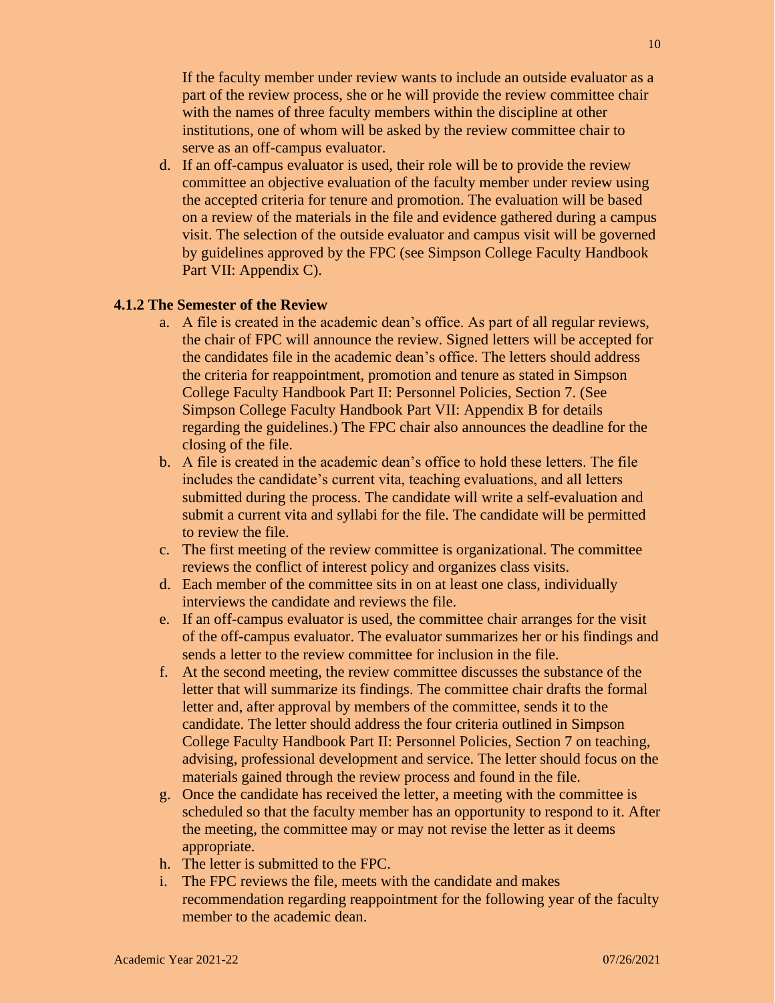If the faculty member under review wants to include an outside evaluator as a part of the review process, she or he will provide the review committee chair with the names of three faculty members within the discipline at other institutions, one of whom will be asked by the review committee chair to serve as an off-campus evaluator.

d. If an off-campus evaluator is used, their role will be to provide the review committee an objective evaluation of the faculty member under review using the accepted criteria for tenure and promotion. The evaluation will be based on a review of the materials in the file and evidence gathered during a campus visit. The selection of the outside evaluator and campus visit will be governed by guidelines approved by the FPC (see Simpson College Faculty Handbook Part VII: Appendix C).

#### **4.1.2 The Semester of the Review**

- a. A file is created in the academic dean's office. As part of all regular reviews, the chair of FPC will announce the review. Signed letters will be accepted for the candidates file in the academic dean's office. The letters should address the criteria for reappointment, promotion and tenure as stated in Simpson College Faculty Handbook Part II: Personnel Policies, Section 7. (See Simpson College Faculty Handbook Part VII: Appendix B for details regarding the guidelines.) The FPC chair also announces the deadline for the closing of the file.
- b. A file is created in the academic dean's office to hold these letters. The file includes the candidate's current vita, teaching evaluations, and all letters submitted during the process. The candidate will write a self-evaluation and submit a current vita and syllabi for the file. The candidate will be permitted to review the file.
- c. The first meeting of the review committee is organizational. The committee reviews the conflict of interest policy and organizes class visits.
- d. Each member of the committee sits in on at least one class, individually interviews the candidate and reviews the file.
- e. If an off-campus evaluator is used, the committee chair arranges for the visit of the off-campus evaluator. The evaluator summarizes her or his findings and sends a letter to the review committee for inclusion in the file.
- f. At the second meeting, the review committee discusses the substance of the letter that will summarize its findings. The committee chair drafts the formal letter and, after approval by members of the committee, sends it to the candidate. The letter should address the four criteria outlined in Simpson College Faculty Handbook Part II: Personnel Policies, Section 7 on teaching, advising, professional development and service. The letter should focus on the materials gained through the review process and found in the file.
- g. Once the candidate has received the letter, a meeting with the committee is scheduled so that the faculty member has an opportunity to respond to it. After the meeting, the committee may or may not revise the letter as it deems appropriate.
- h. The letter is submitted to the FPC.
- i. The FPC reviews the file, meets with the candidate and makes recommendation regarding reappointment for the following year of the faculty member to the academic dean.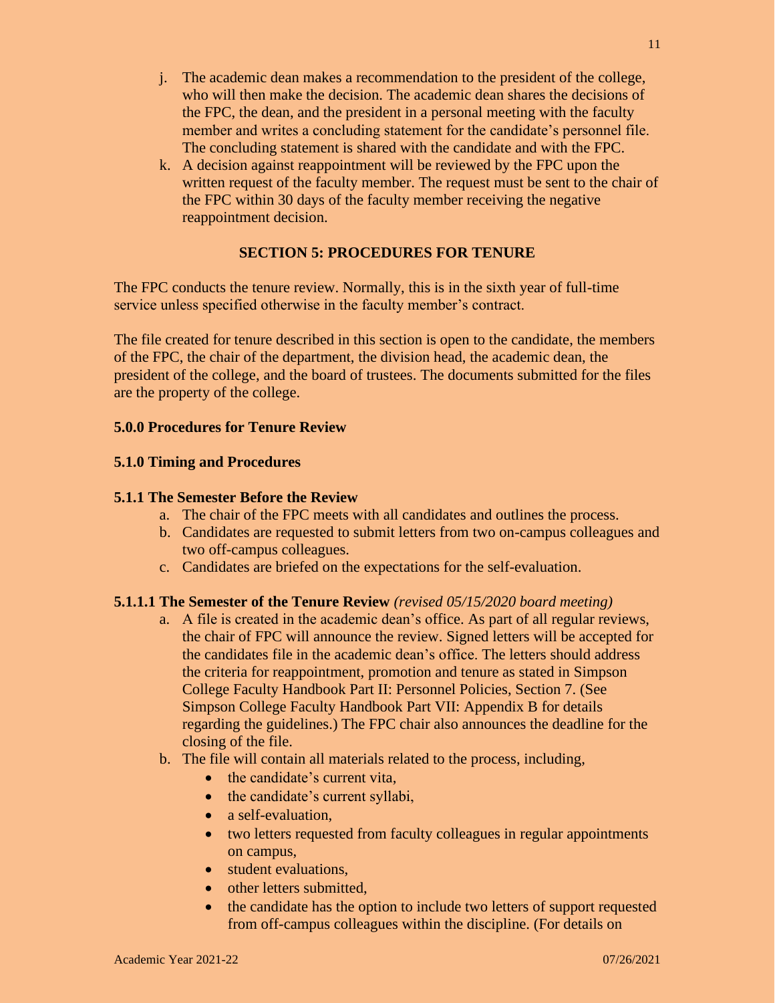- j. The academic dean makes a recommendation to the president of the college, who will then make the decision. The academic dean shares the decisions of the FPC, the dean, and the president in a personal meeting with the faculty member and writes a concluding statement for the candidate's personnel file. The concluding statement is shared with the candidate and with the FPC.
- k. A decision against reappointment will be reviewed by the FPC upon the written request of the faculty member. The request must be sent to the chair of the FPC within 30 days of the faculty member receiving the negative reappointment decision.

## **SECTION 5: PROCEDURES FOR TENURE**

The FPC conducts the tenure review. Normally, this is in the sixth year of full-time service unless specified otherwise in the faculty member's contract.

The file created for tenure described in this section is open to the candidate, the members of the FPC, the chair of the department, the division head, the academic dean, the president of the college, and the board of trustees. The documents submitted for the files are the property of the college.

#### **5.0.0 Procedures for Tenure Review**

#### **5.1.0 Timing and Procedures**

### **5.1.1 The Semester Before the Review**

- a. The chair of the FPC meets with all candidates and outlines the process.
- b. Candidates are requested to submit letters from two on-campus colleagues and two off-campus colleagues.
- c. Candidates are briefed on the expectations for the self-evaluation.

#### **5.1.1.1 The Semester of the Tenure Review** *(revised 05/15/2020 board meeting)*

- a. A file is created in the academic dean's office. As part of all regular reviews, the chair of FPC will announce the review. Signed letters will be accepted for the candidates file in the academic dean's office. The letters should address the criteria for reappointment, promotion and tenure as stated in Simpson College Faculty Handbook Part II: Personnel Policies, Section 7. (See Simpson College Faculty Handbook Part VII: Appendix B for details regarding the guidelines.) The FPC chair also announces the deadline for the closing of the file.
- b. The file will contain all materials related to the process, including,
	- the candidate's current vita,
	- the candidate's current syllabi,
	- a self-evaluation,
	- two letters requested from faculty colleagues in regular appointments on campus,
	- student evaluations.
	- other letters submitted.
	- the candidate has the option to include two letters of support requested from off-campus colleagues within the discipline. (For details on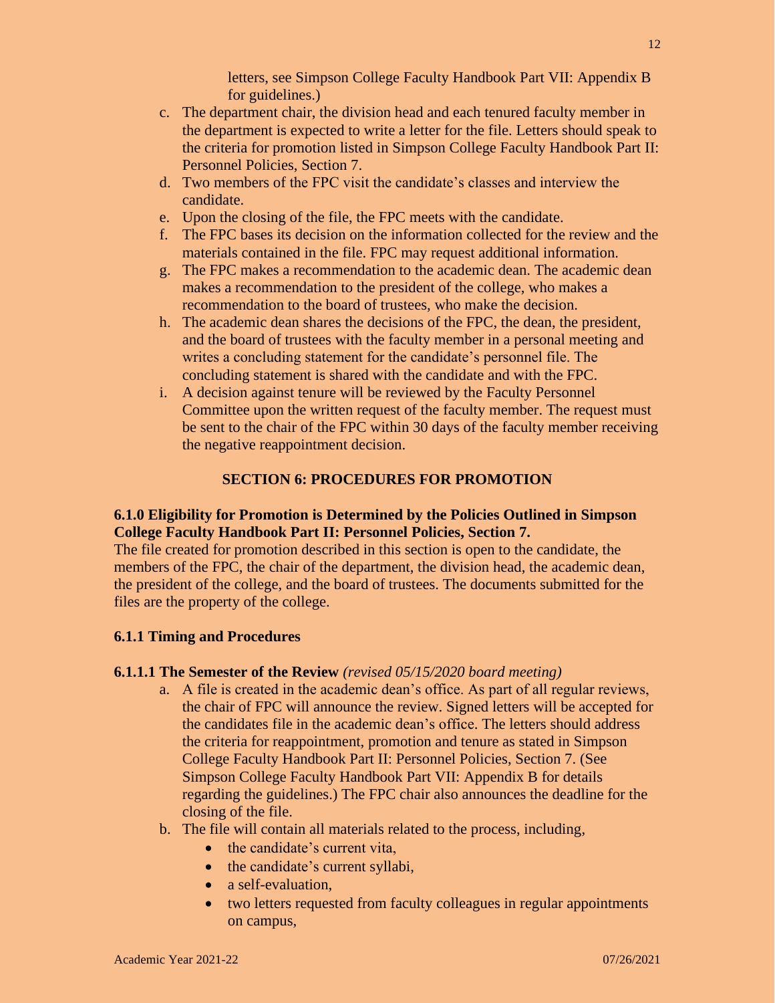letters, see Simpson College Faculty Handbook Part VII: Appendix B for guidelines.)

- c. The department chair, the division head and each tenured faculty member in the department is expected to write a letter for the file. Letters should speak to the criteria for promotion listed in Simpson College Faculty Handbook Part II: Personnel Policies, Section 7.
- d. Two members of the FPC visit the candidate's classes and interview the candidate.
- e. Upon the closing of the file, the FPC meets with the candidate.
- f. The FPC bases its decision on the information collected for the review and the materials contained in the file. FPC may request additional information.
- g. The FPC makes a recommendation to the academic dean. The academic dean makes a recommendation to the president of the college, who makes a recommendation to the board of trustees, who make the decision.
- h. The academic dean shares the decisions of the FPC, the dean, the president, and the board of trustees with the faculty member in a personal meeting and writes a concluding statement for the candidate's personnel file. The concluding statement is shared with the candidate and with the FPC.
- i. A decision against tenure will be reviewed by the Faculty Personnel Committee upon the written request of the faculty member. The request must be sent to the chair of the FPC within 30 days of the faculty member receiving the negative reappointment decision.

## **SECTION 6: PROCEDURES FOR PROMOTION**

## **6.1.0 Eligibility for Promotion is Determined by the Policies Outlined in Simpson College Faculty Handbook Part II: Personnel Policies, Section 7.**

The file created for promotion described in this section is open to the candidate, the members of the FPC, the chair of the department, the division head, the academic dean, the president of the college, and the board of trustees. The documents submitted for the files are the property of the college.

## **6.1.1 Timing and Procedures**

#### **6.1.1.1 The Semester of the Review** *(revised 05/15/2020 board meeting)*

- a. A file is created in the academic dean's office. As part of all regular reviews, the chair of FPC will announce the review. Signed letters will be accepted for the candidates file in the academic dean's office. The letters should address the criteria for reappointment, promotion and tenure as stated in Simpson College Faculty Handbook Part II: Personnel Policies, Section 7. (See Simpson College Faculty Handbook Part VII: Appendix B for details regarding the guidelines.) The FPC chair also announces the deadline for the closing of the file.
- b. The file will contain all materials related to the process, including,
	- the candidate's current vita,
	- the candidate's current syllabi,
	- a self-evaluation,
	- two letters requested from faculty colleagues in regular appointments on campus,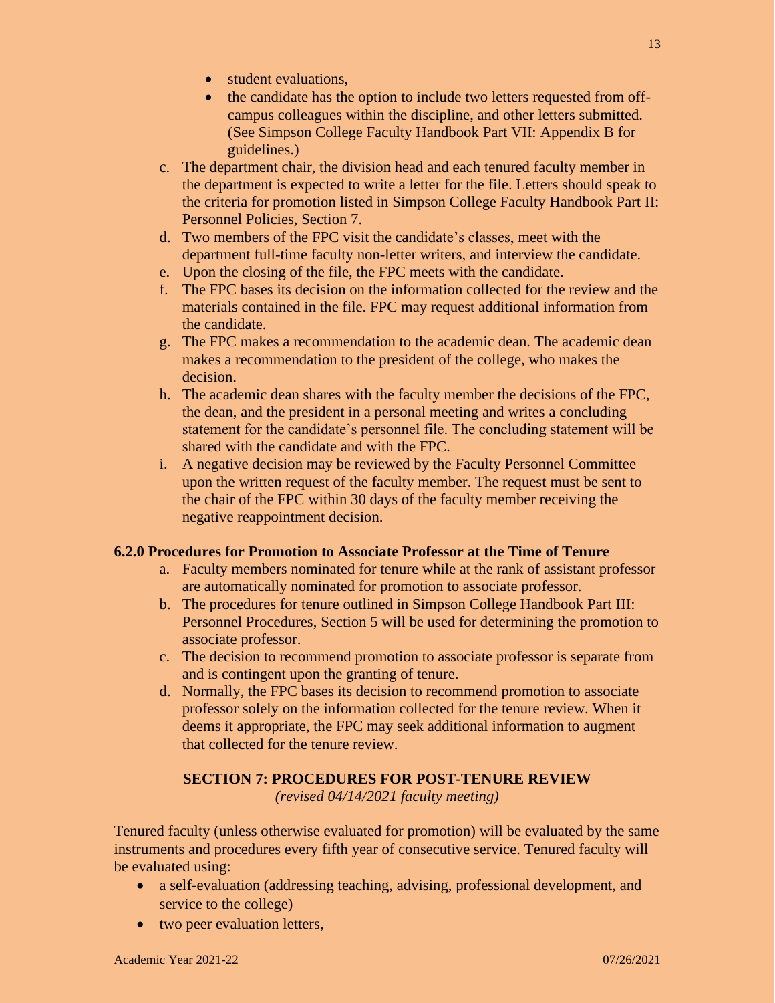- student evaluations.
- the candidate has the option to include two letters requested from offcampus colleagues within the discipline, and other letters submitted. (See Simpson College Faculty Handbook Part VII: Appendix B for guidelines.)
- c. The department chair, the division head and each tenured faculty member in the department is expected to write a letter for the file. Letters should speak to the criteria for promotion listed in Simpson College Faculty Handbook Part II: Personnel Policies, Section 7.
- d. Two members of the FPC visit the candidate's classes, meet with the department full-time faculty non-letter writers, and interview the candidate.
- e. Upon the closing of the file, the FPC meets with the candidate.
- f. The FPC bases its decision on the information collected for the review and the materials contained in the file. FPC may request additional information from the candidate.
- g. The FPC makes a recommendation to the academic dean. The academic dean makes a recommendation to the president of the college, who makes the decision.
- h. The academic dean shares with the faculty member the decisions of the FPC, the dean, and the president in a personal meeting and writes a concluding statement for the candidate's personnel file. The concluding statement will be shared with the candidate and with the FPC.
- i. A negative decision may be reviewed by the Faculty Personnel Committee upon the written request of the faculty member. The request must be sent to the chair of the FPC within 30 days of the faculty member receiving the negative reappointment decision.

## **6.2.0 Procedures for Promotion to Associate Professor at the Time of Tenure**

- a. Faculty members nominated for tenure while at the rank of assistant professor are automatically nominated for promotion to associate professor.
- b. The procedures for tenure outlined in Simpson College Handbook Part III: Personnel Procedures, Section 5 will be used for determining the promotion to associate professor.
- c. The decision to recommend promotion to associate professor is separate from and is contingent upon the granting of tenure.
- d. Normally, the FPC bases its decision to recommend promotion to associate professor solely on the information collected for the tenure review. When it deems it appropriate, the FPC may seek additional information to augment that collected for the tenure review.

# **SECTION 7: PROCEDURES FOR POST-TENURE REVIEW**

*(revised 04/14/2021 faculty meeting)*

Tenured faculty (unless otherwise evaluated for promotion) will be evaluated by the same instruments and procedures every fifth year of consecutive service. Tenured faculty will be evaluated using:

- a self-evaluation (addressing teaching, advising, professional development, and service to the college)
- two peer evaluation letters,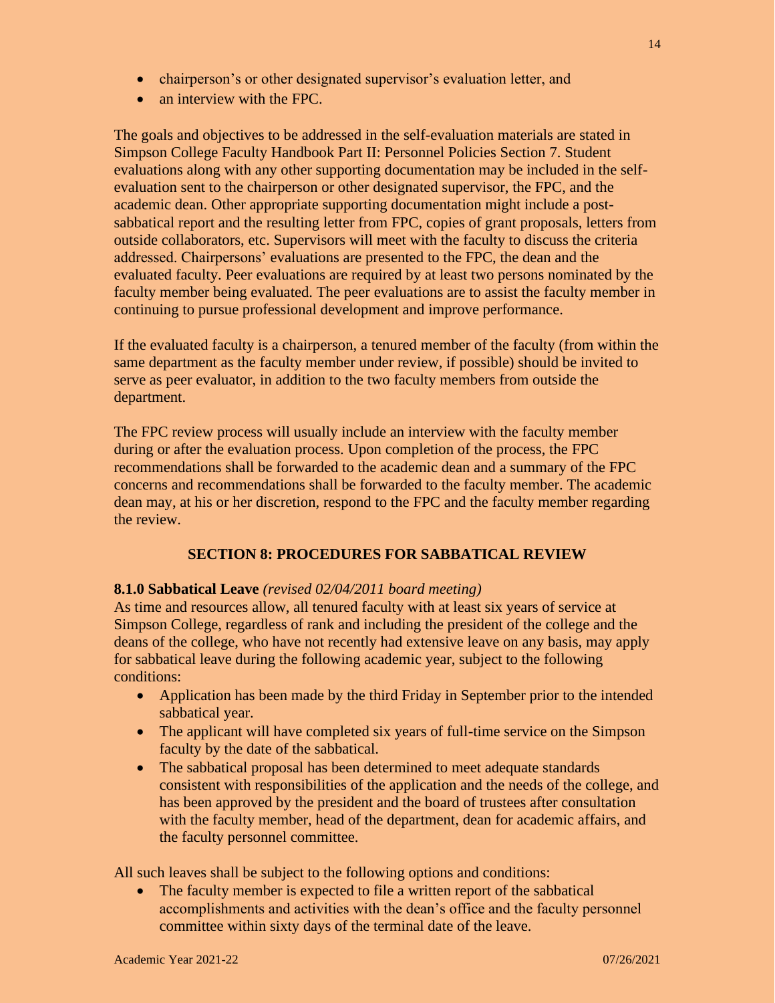• an interview with the FPC.

The goals and objectives to be addressed in the self-evaluation materials are stated in Simpson College Faculty Handbook Part II: Personnel Policies Section 7. Student evaluations along with any other supporting documentation may be included in the selfevaluation sent to the chairperson or other designated supervisor, the FPC, and the academic dean. Other appropriate supporting documentation might include a postsabbatical report and the resulting letter from FPC, copies of grant proposals, letters from outside collaborators, etc. Supervisors will meet with the faculty to discuss the criteria addressed. Chairpersons' evaluations are presented to the FPC, the dean and the evaluated faculty. Peer evaluations are required by at least two persons nominated by the faculty member being evaluated. The peer evaluations are to assist the faculty member in continuing to pursue professional development and improve performance.

If the evaluated faculty is a chairperson, a tenured member of the faculty (from within the same department as the faculty member under review, if possible) should be invited to serve as peer evaluator, in addition to the two faculty members from outside the department.

The FPC review process will usually include an interview with the faculty member during or after the evaluation process. Upon completion of the process, the FPC recommendations shall be forwarded to the academic dean and a summary of the FPC concerns and recommendations shall be forwarded to the faculty member. The academic dean may, at his or her discretion, respond to the FPC and the faculty member regarding the review.

# **SECTION 8: PROCEDURES FOR SABBATICAL REVIEW**

## **8.1.0 Sabbatical Leave** *(revised 02/04/2011 board meeting)*

As time and resources allow, all tenured faculty with at least six years of service at Simpson College, regardless of rank and including the president of the college and the deans of the college, who have not recently had extensive leave on any basis, may apply for sabbatical leave during the following academic year, subject to the following conditions:

- Application has been made by the third Friday in September prior to the intended sabbatical year.
- The applicant will have completed six years of full-time service on the Simpson faculty by the date of the sabbatical.
- The sabbatical proposal has been determined to meet adequate standards consistent with responsibilities of the application and the needs of the college, and has been approved by the president and the board of trustees after consultation with the faculty member, head of the department, dean for academic affairs, and the faculty personnel committee.

All such leaves shall be subject to the following options and conditions:

• The faculty member is expected to file a written report of the sabbatical accomplishments and activities with the dean's office and the faculty personnel committee within sixty days of the terminal date of the leave.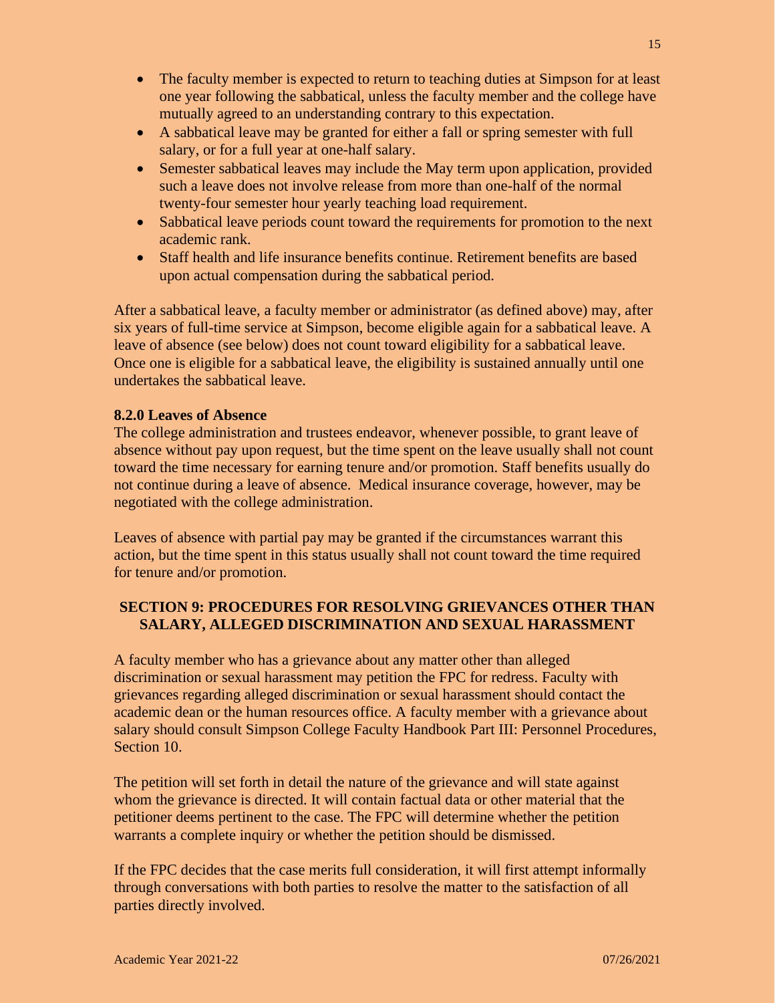- The faculty member is expected to return to teaching duties at Simpson for at least one year following the sabbatical, unless the faculty member and the college have mutually agreed to an understanding contrary to this expectation.
- A sabbatical leave may be granted for either a fall or spring semester with full salary, or for a full year at one-half salary.
- Semester sabbatical leaves may include the May term upon application, provided such a leave does not involve release from more than one-half of the normal twenty-four semester hour yearly teaching load requirement.
- Sabbatical leave periods count toward the requirements for promotion to the next academic rank.
- Staff health and life insurance benefits continue. Retirement benefits are based upon actual compensation during the sabbatical period.

After a sabbatical leave, a faculty member or administrator (as defined above) may, after six years of full-time service at Simpson, become eligible again for a sabbatical leave. A leave of absence (see below) does not count toward eligibility for a sabbatical leave. Once one is eligible for a sabbatical leave, the eligibility is sustained annually until one undertakes the sabbatical leave.

# **8.2.0 Leaves of Absence**

The college administration and trustees endeavor, whenever possible, to grant leave of absence without pay upon request, but the time spent on the leave usually shall not count toward the time necessary for earning tenure and/or promotion. Staff benefits usually do not continue during a leave of absence. Medical insurance coverage, however, may be negotiated with the college administration.

Leaves of absence with partial pay may be granted if the circumstances warrant this action, but the time spent in this status usually shall not count toward the time required for tenure and/or promotion.

# **SECTION 9: PROCEDURES FOR RESOLVING GRIEVANCES OTHER THAN SALARY, ALLEGED DISCRIMINATION AND SEXUAL HARASSMENT**

A faculty member who has a grievance about any matter other than alleged discrimination or sexual harassment may petition the FPC for redress. Faculty with grievances regarding alleged discrimination or sexual harassment should contact the academic dean or the human resources office. A faculty member with a grievance about salary should consult Simpson College Faculty Handbook Part III: Personnel Procedures, Section 10.

The petition will set forth in detail the nature of the grievance and will state against whom the grievance is directed. It will contain factual data or other material that the petitioner deems pertinent to the case. The FPC will determine whether the petition warrants a complete inquiry or whether the petition should be dismissed.

If the FPC decides that the case merits full consideration, it will first attempt informally through conversations with both parties to resolve the matter to the satisfaction of all parties directly involved.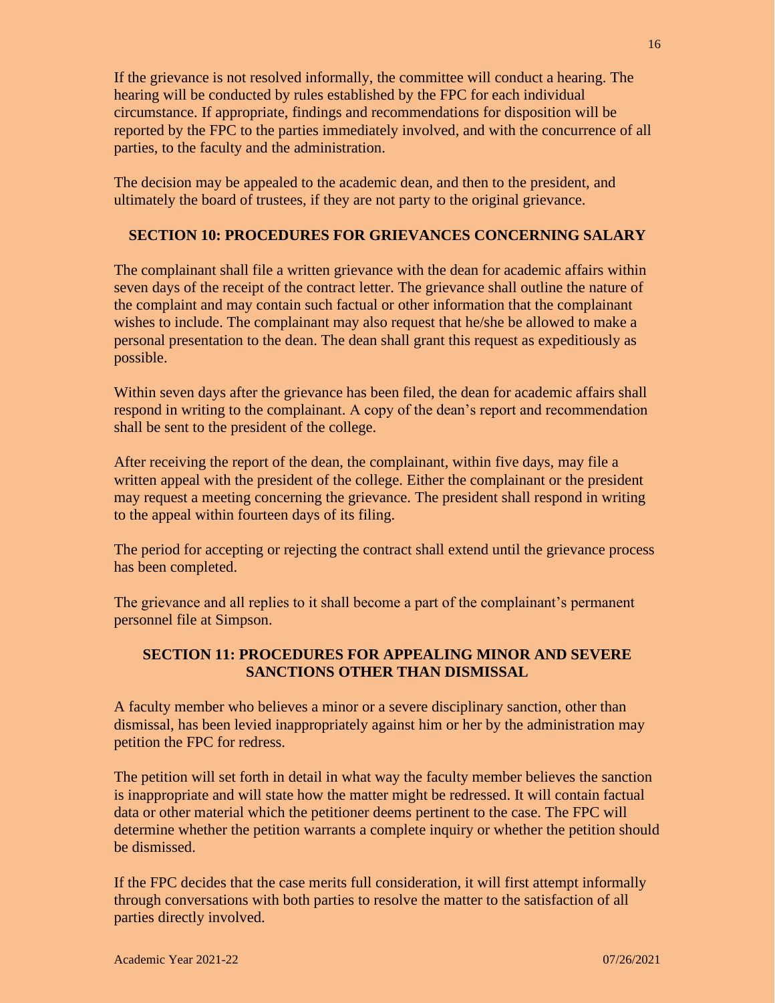If the grievance is not resolved informally, the committee will conduct a hearing. The hearing will be conducted by rules established by the FPC for each individual circumstance. If appropriate, findings and recommendations for disposition will be reported by the FPC to the parties immediately involved, and with the concurrence of all parties, to the faculty and the administration.

The decision may be appealed to the academic dean, and then to the president, and ultimately the board of trustees, if they are not party to the original grievance.

### **SECTION 10: PROCEDURES FOR GRIEVANCES CONCERNING SALARY**

The complainant shall file a written grievance with the dean for academic affairs within seven days of the receipt of the contract letter. The grievance shall outline the nature of the complaint and may contain such factual or other information that the complainant wishes to include. The complainant may also request that he/she be allowed to make a personal presentation to the dean. The dean shall grant this request as expeditiously as possible.

Within seven days after the grievance has been filed, the dean for academic affairs shall respond in writing to the complainant. A copy of the dean's report and recommendation shall be sent to the president of the college.

After receiving the report of the dean, the complainant, within five days, may file a written appeal with the president of the college. Either the complainant or the president may request a meeting concerning the grievance. The president shall respond in writing to the appeal within fourteen days of its filing.

The period for accepting or rejecting the contract shall extend until the grievance process has been completed.

The grievance and all replies to it shall become a part of the complainant's permanent personnel file at Simpson.

# **SECTION 11: PROCEDURES FOR APPEALING MINOR AND SEVERE SANCTIONS OTHER THAN DISMISSAL**

A faculty member who believes a minor or a severe disciplinary sanction, other than dismissal, has been levied inappropriately against him or her by the administration may petition the FPC for redress.

The petition will set forth in detail in what way the faculty member believes the sanction is inappropriate and will state how the matter might be redressed. It will contain factual data or other material which the petitioner deems pertinent to the case. The FPC will determine whether the petition warrants a complete inquiry or whether the petition should be dismissed.

If the FPC decides that the case merits full consideration, it will first attempt informally through conversations with both parties to resolve the matter to the satisfaction of all parties directly involved.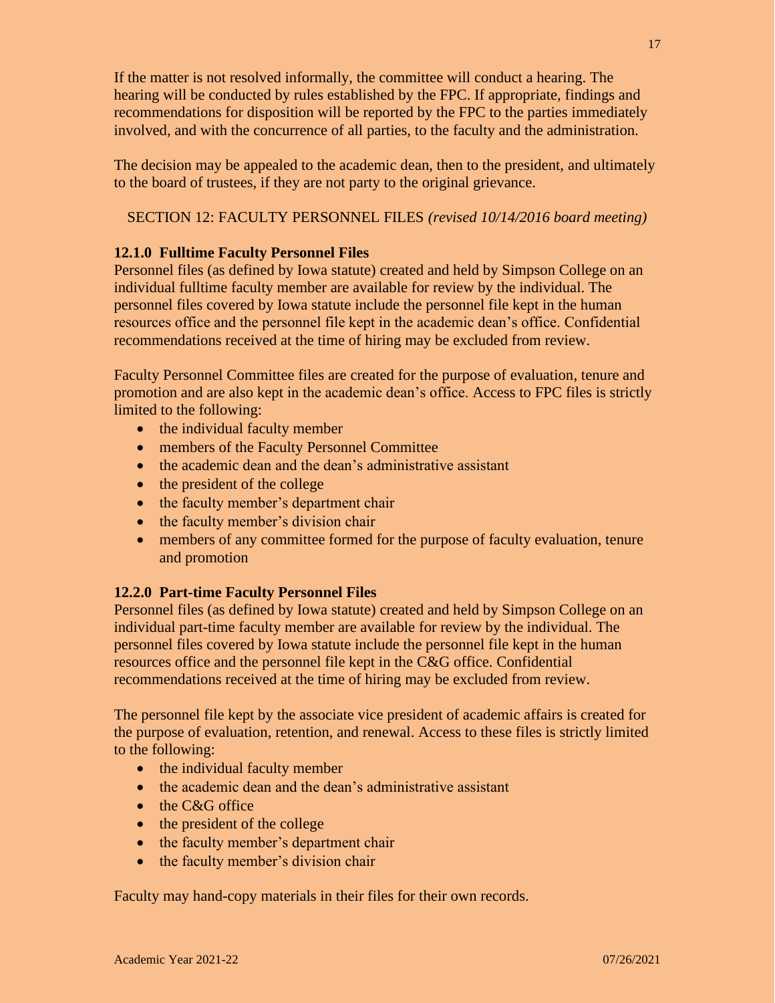If the matter is not resolved informally, the committee will conduct a hearing. The hearing will be conducted by rules established by the FPC. If appropriate, findings and recommendations for disposition will be reported by the FPC to the parties immediately involved, and with the concurrence of all parties, to the faculty and the administration.

The decision may be appealed to the academic dean, then to the president, and ultimately to the board of trustees, if they are not party to the original grievance.

SECTION 12: FACULTY PERSONNEL FILES *(revised 10/14/2016 board meeting)*

## **12.1.0 Fulltime Faculty Personnel Files**

Personnel files (as defined by Iowa statute) created and held by Simpson College on an individual fulltime faculty member are available for review by the individual. The personnel files covered by Iowa statute include the personnel file kept in the human resources office and the personnel file kept in the academic dean's office. Confidential recommendations received at the time of hiring may be excluded from review.

Faculty Personnel Committee files are created for the purpose of evaluation, tenure and promotion and are also kept in the academic dean's office. Access to FPC files is strictly limited to the following:

- the individual faculty member
- members of the Faculty Personnel Committee
- the academic dean and the dean's administrative assistant
- the president of the college
- the faculty member's department chair
- the faculty member's division chair
- members of any committee formed for the purpose of faculty evaluation, tenure and promotion

#### **12.2.0 Part-time Faculty Personnel Files**

Personnel files (as defined by Iowa statute) created and held by Simpson College on an individual part-time faculty member are available for review by the individual. The personnel files covered by Iowa statute include the personnel file kept in the human resources office and the personnel file kept in the C&G office. Confidential recommendations received at the time of hiring may be excluded from review.

The personnel file kept by the associate vice president of academic affairs is created for the purpose of evaluation, retention, and renewal. Access to these files is strictly limited to the following:

- the individual faculty member
- the academic dean and the dean's administrative assistant
- the C&G office
- the president of the college
- the faculty member's department chair
- the faculty member's division chair

Faculty may hand-copy materials in their files for their own records.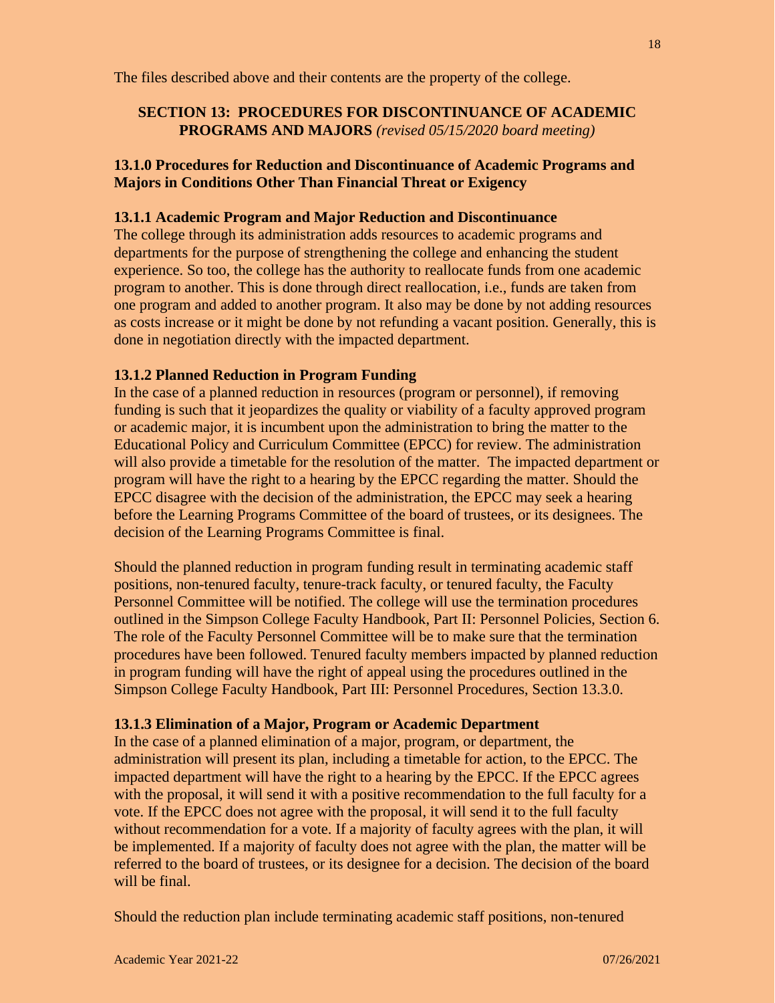The files described above and their contents are the property of the college.

## **SECTION 13: PROCEDURES FOR DISCONTINUANCE OF ACADEMIC PROGRAMS AND MAJORS** *(revised 05/15/2020 board meeting)*

## **13.1.0 Procedures for Reduction and Discontinuance of Academic Programs and Majors in Conditions Other Than Financial Threat or Exigency**

### **13.1.1 Academic Program and Major Reduction and Discontinuance**

The college through its administration adds resources to academic programs and departments for the purpose of strengthening the college and enhancing the student experience. So too, the college has the authority to reallocate funds from one academic program to another. This is done through direct reallocation, i.e., funds are taken from one program and added to another program. It also may be done by not adding resources as costs increase or it might be done by not refunding a vacant position. Generally, this is done in negotiation directly with the impacted department.

### **13.1.2 Planned Reduction in Program Funding**

In the case of a planned reduction in resources (program or personnel), if removing funding is such that it jeopardizes the quality or viability of a faculty approved program or academic major, it is incumbent upon the administration to bring the matter to the Educational Policy and Curriculum Committee (EPCC) for review. The administration will also provide a timetable for the resolution of the matter. The impacted department or program will have the right to a hearing by the EPCC regarding the matter. Should the EPCC disagree with the decision of the administration, the EPCC may seek a hearing before the Learning Programs Committee of the board of trustees, or its designees. The decision of the Learning Programs Committee is final.

Should the planned reduction in program funding result in terminating academic staff positions, non-tenured faculty, tenure-track faculty, or tenured faculty, the Faculty Personnel Committee will be notified. The college will use the termination procedures outlined in the Simpson College Faculty Handbook, Part II: Personnel Policies, Section 6*.* The role of the Faculty Personnel Committee will be to make sure that the termination procedures have been followed. Tenured faculty members impacted by planned reduction in program funding will have the right of appeal using the procedures outlined in the Simpson College Faculty Handbook, Part III: Personnel Procedures, Section 13.3.0.

## **13.1.3 Elimination of a Major, Program or Academic Department**

In the case of a planned elimination of a major, program, or department, the administration will present its plan, including a timetable for action, to the EPCC. The impacted department will have the right to a hearing by the EPCC. If the EPCC agrees with the proposal, it will send it with a positive recommendation to the full faculty for a vote. If the EPCC does not agree with the proposal, it will send it to the full faculty without recommendation for a vote. If a majority of faculty agrees with the plan, it will be implemented. If a majority of faculty does not agree with the plan, the matter will be referred to the board of trustees, or its designee for a decision. The decision of the board will be final.

Should the reduction plan include terminating academic staff positions, non-tenured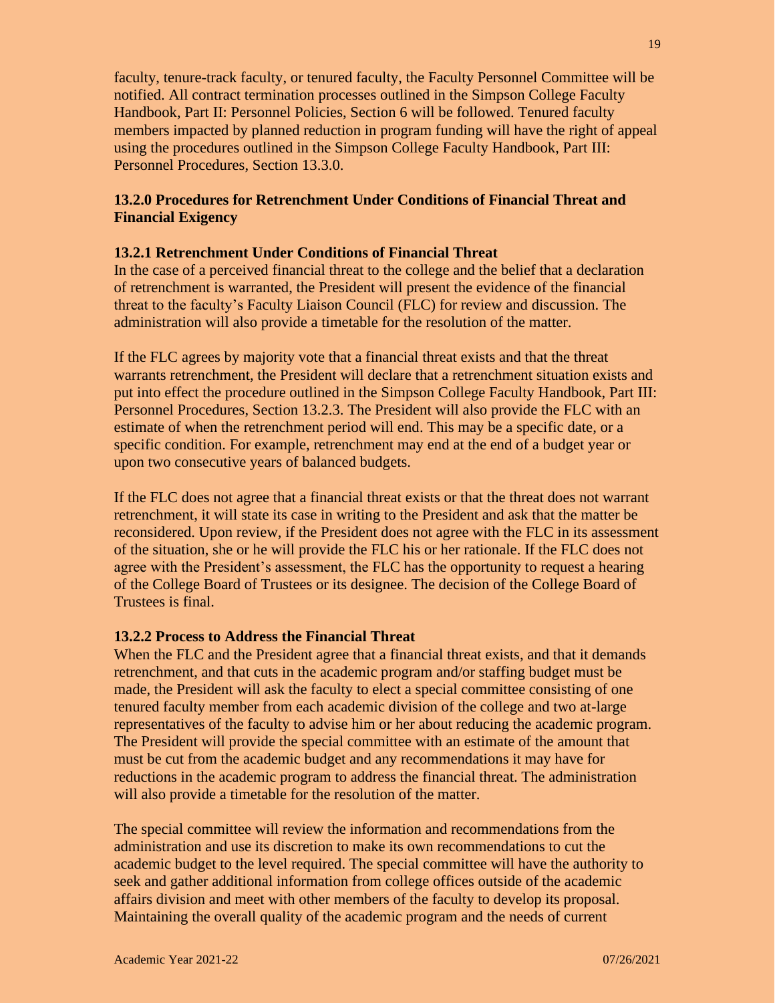faculty, tenure-track faculty, or tenured faculty, the Faculty Personnel Committee will be notified. All contract termination processes outlined in the Simpson College Faculty Handbook, Part II: Personnel Policies, Section 6 will be followed. Tenured faculty members impacted by planned reduction in program funding will have the right of appeal using the procedures outlined in the Simpson College Faculty Handbook, Part III: Personnel Procedures, Section 13.3.0.

## **13.2.0 Procedures for Retrenchment Under Conditions of Financial Threat and Financial Exigency**

### **13.2.1 Retrenchment Under Conditions of Financial Threat**

In the case of a perceived financial threat to the college and the belief that a declaration of retrenchment is warranted, the President will present the evidence of the financial threat to the faculty's Faculty Liaison Council (FLC) for review and discussion. The administration will also provide a timetable for the resolution of the matter.

If the FLC agrees by majority vote that a financial threat exists and that the threat warrants retrenchment, the President will declare that a retrenchment situation exists and put into effect the procedure outlined in the Simpson College Faculty Handbook, Part III: Personnel Procedures, Section 13.2.3. The President will also provide the FLC with an estimate of when the retrenchment period will end. This may be a specific date, or a specific condition. For example, retrenchment may end at the end of a budget year or upon two consecutive years of balanced budgets.

If the FLC does not agree that a financial threat exists or that the threat does not warrant retrenchment, it will state its case in writing to the President and ask that the matter be reconsidered. Upon review, if the President does not agree with the FLC in its assessment of the situation, she or he will provide the FLC his or her rationale. If the FLC does not agree with the President's assessment, the FLC has the opportunity to request a hearing of the College Board of Trustees or its designee. The decision of the College Board of Trustees is final.

#### **13.2.2 Process to Address the Financial Threat**

When the FLC and the President agree that a financial threat exists, and that it demands retrenchment, and that cuts in the academic program and/or staffing budget must be made, the President will ask the faculty to elect a special committee consisting of one tenured faculty member from each academic division of the college and two at-large representatives of the faculty to advise him or her about reducing the academic program. The President will provide the special committee with an estimate of the amount that must be cut from the academic budget and any recommendations it may have for reductions in the academic program to address the financial threat. The administration will also provide a timetable for the resolution of the matter.

The special committee will review the information and recommendations from the administration and use its discretion to make its own recommendations to cut the academic budget to the level required. The special committee will have the authority to seek and gather additional information from college offices outside of the academic affairs division and meet with other members of the faculty to develop its proposal. Maintaining the overall quality of the academic program and the needs of current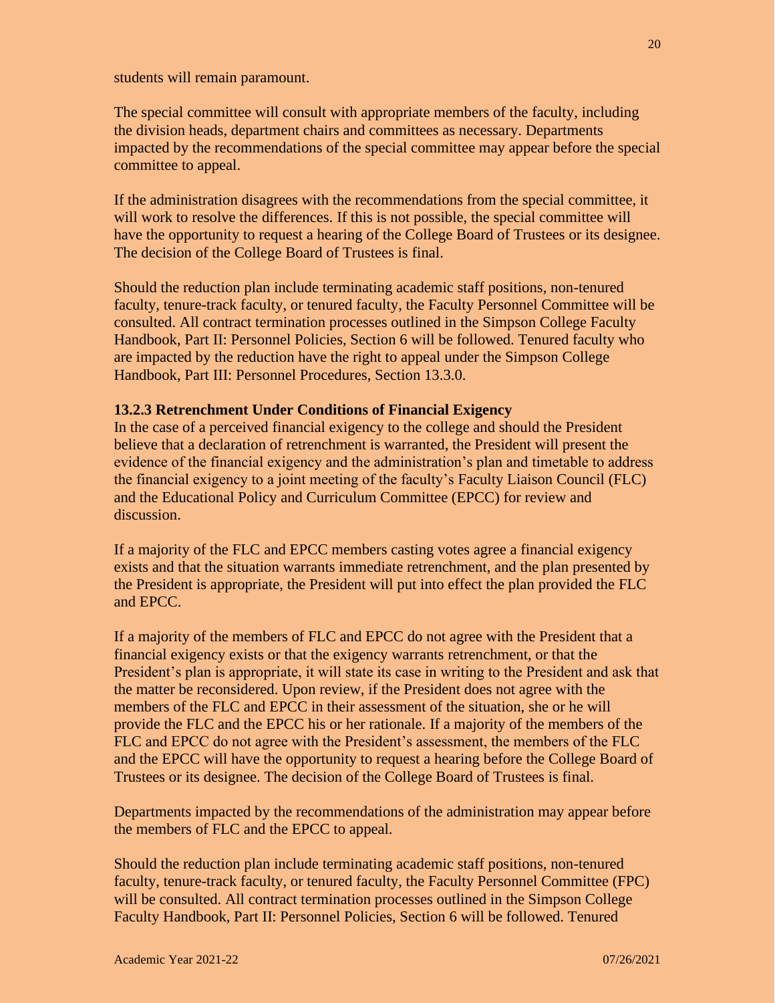students will remain paramount.

The special committee will consult with appropriate members of the faculty, including the division heads, department chairs and committees as necessary. Departments impacted by the recommendations of the special committee may appear before the special committee to appeal.

If the administration disagrees with the recommendations from the special committee, it will work to resolve the differences. If this is not possible, the special committee will have the opportunity to request a hearing of the College Board of Trustees or its designee. The decision of the College Board of Trustees is final.

Should the reduction plan include terminating academic staff positions, non-tenured faculty, tenure-track faculty, or tenured faculty, the Faculty Personnel Committee will be consulted. All contract termination processes outlined in the Simpson College Faculty Handbook, Part II: Personnel Policies, Section 6 will be followed. Tenured faculty who are impacted by the reduction have the right to appeal under the Simpson College Handbook, Part III: Personnel Procedures, Section 13.3.0.

### **13.2.3 Retrenchment Under Conditions of Financial Exigency**

In the case of a perceived financial exigency to the college and should the President believe that a declaration of retrenchment is warranted, the President will present the evidence of the financial exigency and the administration's plan and timetable to address the financial exigency to a joint meeting of the faculty's Faculty Liaison Council (FLC) and the Educational Policy and Curriculum Committee (EPCC) for review and discussion.

If a majority of the FLC and EPCC members casting votes agree a financial exigency exists and that the situation warrants immediate retrenchment, and the plan presented by the President is appropriate, the President will put into effect the plan provided the FLC and EPCC.

If a majority of the members of FLC and EPCC do not agree with the President that a financial exigency exists or that the exigency warrants retrenchment, or that the President's plan is appropriate, it will state its case in writing to the President and ask that the matter be reconsidered. Upon review, if the President does not agree with the members of the FLC and EPCC in their assessment of the situation, she or he will provide the FLC and the EPCC his or her rationale. If a majority of the members of the FLC and EPCC do not agree with the President's assessment, the members of the FLC and the EPCC will have the opportunity to request a hearing before the College Board of Trustees or its designee. The decision of the College Board of Trustees is final.

Departments impacted by the recommendations of the administration may appear before the members of FLC and the EPCC to appeal.

Should the reduction plan include terminating academic staff positions, non-tenured faculty, tenure-track faculty, or tenured faculty, the Faculty Personnel Committee (FPC) will be consulted. All contract termination processes outlined in the Simpson College Faculty Handbook, Part II: Personnel Policies, Section 6 will be followed. Tenured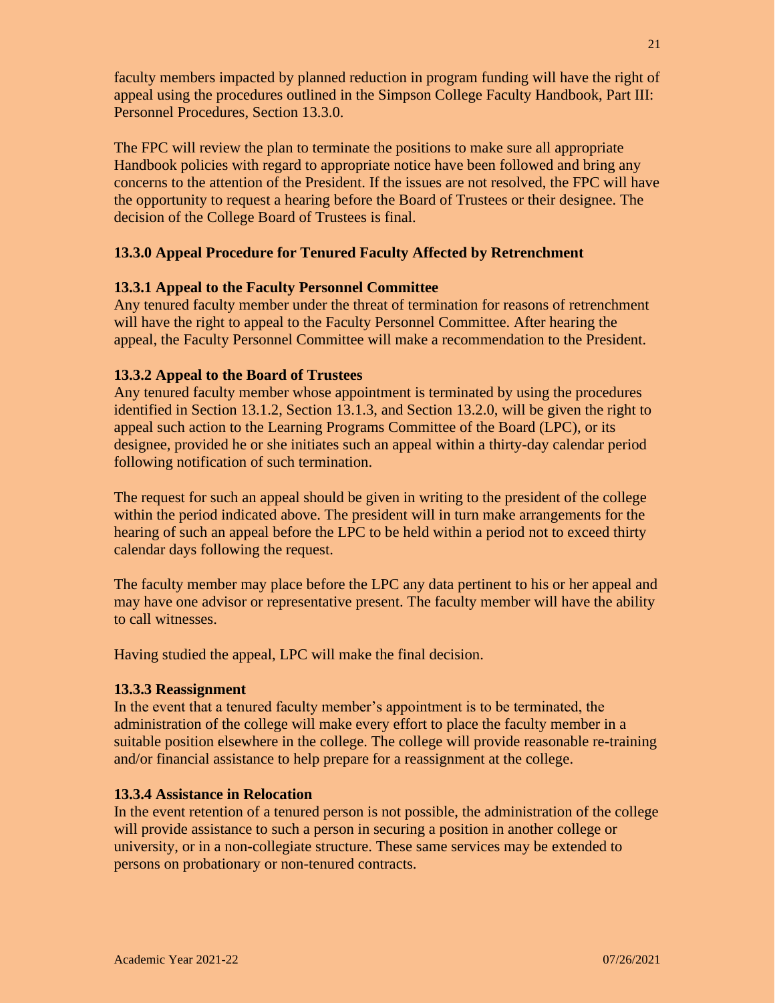faculty members impacted by planned reduction in program funding will have the right of appeal using the procedures outlined in the Simpson College Faculty Handbook, Part III: Personnel Procedures, Section 13.3.0.

The FPC will review the plan to terminate the positions to make sure all appropriate Handbook policies with regard to appropriate notice have been followed and bring any concerns to the attention of the President. If the issues are not resolved, the FPC will have the opportunity to request a hearing before the Board of Trustees or their designee. The decision of the College Board of Trustees is final.

## **13.3.0 Appeal Procedure for Tenured Faculty Affected by Retrenchment**

#### **13.3.1 Appeal to the Faculty Personnel Committee**

Any tenured faculty member under the threat of termination for reasons of retrenchment will have the right to appeal to the Faculty Personnel Committee. After hearing the appeal, the Faculty Personnel Committee will make a recommendation to the President.

### **13.3.2 Appeal to the Board of Trustees**

Any tenured faculty member whose appointment is terminated by using the procedures identified in Section 13.1.2, Section 13.1.3, and Section 13.2.0, will be given the right to appeal such action to the Learning Programs Committee of the Board (LPC), or its designee, provided he or she initiates such an appeal within a thirty-day calendar period following notification of such termination.

The request for such an appeal should be given in writing to the president of the college within the period indicated above. The president will in turn make arrangements for the hearing of such an appeal before the LPC to be held within a period not to exceed thirty calendar days following the request.

The faculty member may place before the LPC any data pertinent to his or her appeal and may have one advisor or representative present. The faculty member will have the ability to call witnesses.

Having studied the appeal, LPC will make the final decision.

#### **13.3.3 Reassignment**

In the event that a tenured faculty member's appointment is to be terminated, the administration of the college will make every effort to place the faculty member in a suitable position elsewhere in the college. The college will provide reasonable re-training and/or financial assistance to help prepare for a reassignment at the college.

## **13.3.4 Assistance in Relocation**

In the event retention of a tenured person is not possible, the administration of the college will provide assistance to such a person in securing a position in another college or university, or in a non-collegiate structure. These same services may be extended to persons on probationary or non-tenured contracts.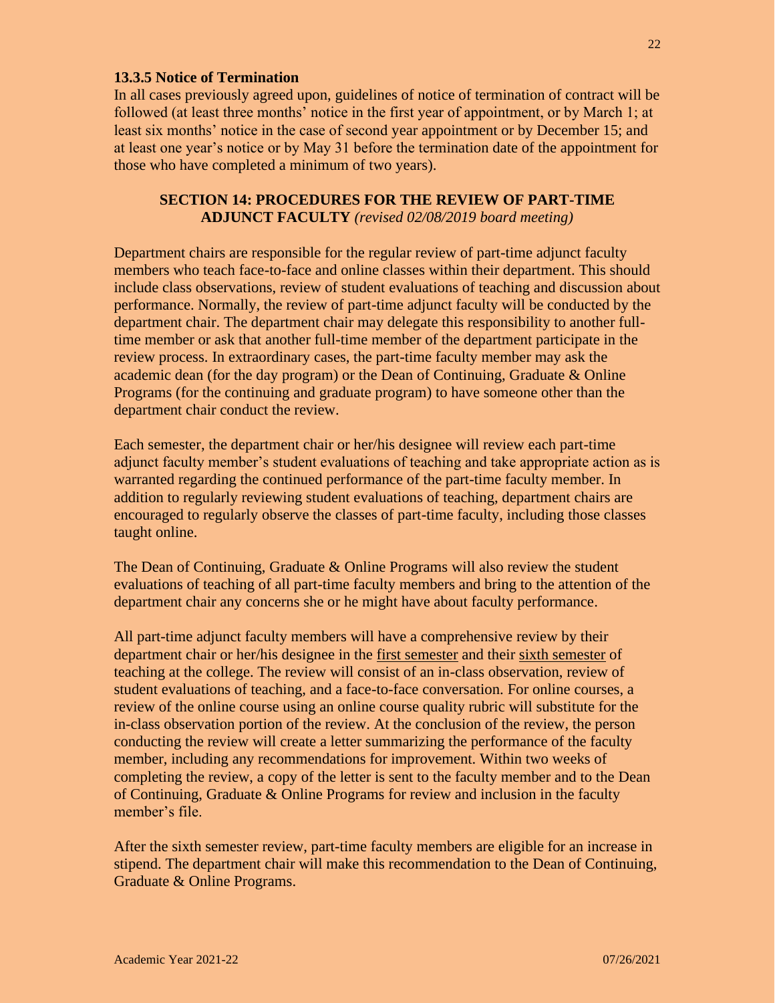### **13.3.5 Notice of Termination**

In all cases previously agreed upon, guidelines of notice of termination of contract will be followed (at least three months' notice in the first year of appointment, or by March 1; at least six months' notice in the case of second year appointment or by December 15; and at least one year's notice or by May 31 before the termination date of the appointment for those who have completed a minimum of two years).

### **SECTION 14: PROCEDURES FOR THE REVIEW OF PART-TIME ADJUNCT FACULTY** *(revised 02/08/2019 board meeting)*

Department chairs are responsible for the regular review of part-time adjunct faculty members who teach face-to-face and online classes within their department. This should include class observations, review of student evaluations of teaching and discussion about performance. Normally, the review of part-time adjunct faculty will be conducted by the department chair. The department chair may delegate this responsibility to another fulltime member or ask that another full-time member of the department participate in the review process. In extraordinary cases, the part-time faculty member may ask the academic dean (for the day program) or the Dean of Continuing, Graduate & Online Programs (for the continuing and graduate program) to have someone other than the department chair conduct the review.

Each semester, the department chair or her/his designee will review each part-time adjunct faculty member's student evaluations of teaching and take appropriate action as is warranted regarding the continued performance of the part-time faculty member. In addition to regularly reviewing student evaluations of teaching, department chairs are encouraged to regularly observe the classes of part-time faculty, including those classes taught online.

The Dean of Continuing, Graduate & Online Programs will also review the student evaluations of teaching of all part-time faculty members and bring to the attention of the department chair any concerns she or he might have about faculty performance.

All part-time adjunct faculty members will have a comprehensive review by their department chair or her/his designee in the first semester and their sixth semester of teaching at the college. The review will consist of an in-class observation, review of student evaluations of teaching, and a face-to-face conversation. For online courses, a review of the online course using an online course quality rubric will substitute for the in-class observation portion of the review. At the conclusion of the review, the person conducting the review will create a letter summarizing the performance of the faculty member, including any recommendations for improvement. Within two weeks of completing the review, a copy of the letter is sent to the faculty member and to the Dean of Continuing, Graduate & Online Programs for review and inclusion in the faculty member's file.

After the sixth semester review, part-time faculty members are eligible for an increase in stipend. The department chair will make this recommendation to the Dean of Continuing, Graduate & Online Programs.